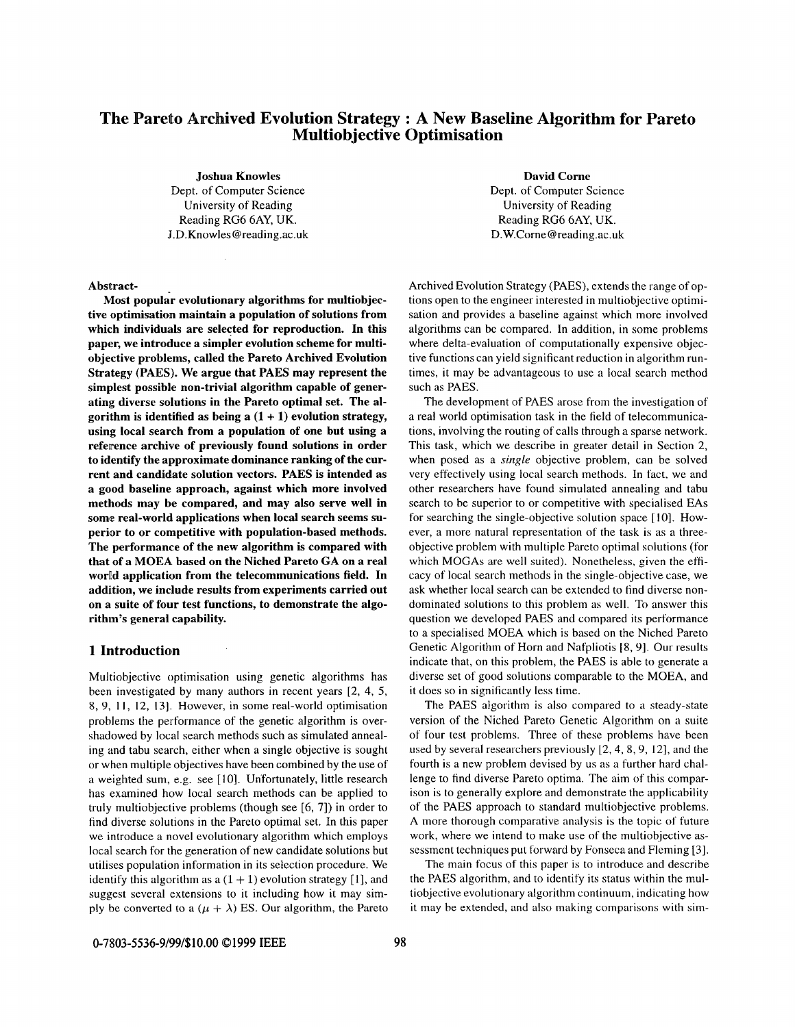# **The Pareto Archived Evolution Strategy** : **A New Baseline Algorithm for Pareto Multiobjective Optimisation**

**Joshua Knowles**  Dept. of Computer Science University of Reading Reading RG6 6AY, UK. [J.D.Knowles@reading.ac.uk](mailto:J.D.Knowles@reading.ac.uk)

**Abstract-**

**Most popular evolutionary algorithms for multiobjective optimisation maintain a population of solutions from which individuals are selected for reproduction. In this paper, we introduce a simpler evolution scheme for multiobjective problems, called the Pareto Archived Evolution Strategy (PAES). We argue that PAES may represent the simplest possible non-trivial algorithm capable of generating diverse solutions in the Pareto optimal set. The al**gorithm is identified as being  $a(1 + 1)$  evolution strategy, **using local search from a population of one but using a reference archive of previously found solutions in order to identify the approximate dominance ranking of the current and candidate solution vectors. PAES is intended as a good baseline approach, against which more involved methods may be compared, and may also serve well in some real-world applications when local search seems superior to or competitive with population-based methods. The performance of the new algorithm is compared with that of a MOEA based on the Niched Pareto GA on a real world application from the telecommunications field. In addition, we include results from experiments carried out on a suite of four test functions, to demonstrate the algorithm's general capability.** 

### **1 Introduction**

Multiobjective optimisation using genetic algorithms has been investigated by many authors in recent years [2, 4, 5, 8, 9, 1 I, 12, **131.** However, in some real-world optimisation problems the performance of the genetic algorithm is overshadowed by local search methods such as simulated annealing and tabu search, either when a single objective is sought or when multiple objectives have been combined by the use of a weighted sum, e.g. see [10]. Unfortunately, little research has examined how local search methods can be applied to truly multiobjective problems (though see [6, 71) in order to find diverse solutions in the Pareto optimal set. In this paper we introduce a novel evolutionary algorithm which employs local search for the generation of new candidate solutions but utilises population information in its selection procedure. We identify this algorithm as a  $(1 + 1)$  evolution strategy [1], and suggest several extensions to it including how it may simply be converted to a  $(\mu + \lambda)$  ES. Our algorithm, the Pareto

**David Corne**  Dept. of Computer Science University of Reading Reading RG6 6AY, UK. [D.W.CorneQreading.ac.uk](http://D.W.CorneQreading.ac.uk) 

Archived Evolution Strategy (PAES), extends the range of options open to the engineer interested in multiobjective optimisation and provides a baseline against which more involved algorithms can be compared. In addition, in some problems where delta-evaluation of computationally expensive objective functions can yield significant reduction in algorithm runtimes, it may be advantageous to use a local search method such as PAES.

The development of PAES arose from the investigation of a real world optimisation task in the field of telecommunications, involving the routing of calls through a sparse network. This task, which we describe in greater detail in Section 2, when posed as a *single* objective problem, can be solved very effectively using local search methods. In fact, we and other researchers have found simulated annealing and tabu search to be superior to or competitive with specialised EAs for searching the single-objective solution space [10]. However, a more natural representation of the task is *as* a threeobjective problem with multiple Pareto optimal solutions (for which MOGAs are well suited). Nonetheless, given the efficacy of local search methods in the single-objective case, we ask whether local search can be extended to find diverse nondominated solutions to this problem as well. To answer this question we developed PAES and compared its performance to a specialised MOEA which is based on the Niched Pareto Genetic Algorithm of Horn and Nafpliotis [8, 9]. Our results indicate that, on this problem, the PAES is able to generate a diverse set of good solutions comparable to the MOEA, and it does so in significantly less time.

The PAES algorithm is *also* compared to a steady-state version of the Niched Pareto Genetic Algorithm on a suite of four test problems. Three of these problems have been used by several researchers previously [2, 4, 8, 9, 12], and the fourth is a new problem devised by us as a further hard challenge to find diverse Pareto optima. The aim of this comparison is to generally explore and demonstrate the applicability of the PAES approach to standard multiobjective problems. A more thorough comparative analysis is the topic of future work, where we intend to make use of the multiobjective assessment techniques put forward by Fonseca and Fleming *[3].* 

The main focus of this paper is to introduce and describe the PAES algorithm, and to identify its status within the multiobjective evolutionary algorithm continuum, indicating how it may be extended, and also making comparisons with sim-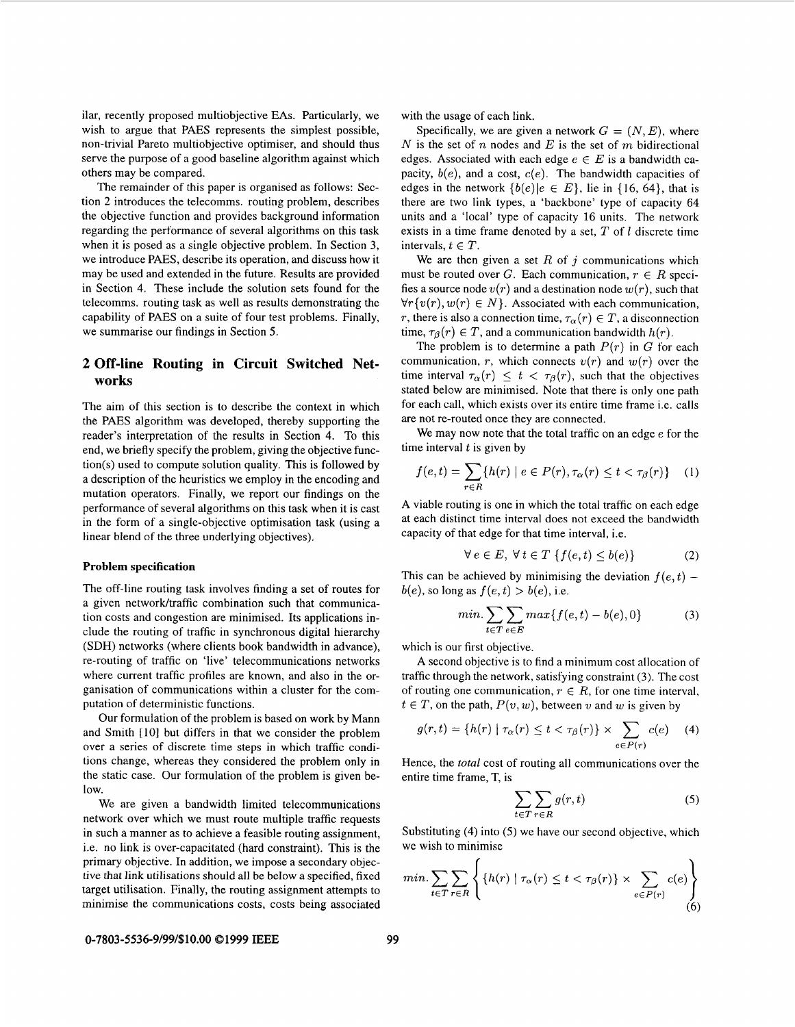ilar, recently proposed multiobjective **EAs.** Particularly, we wish to argue that PAES represents the simplest possible, non-trivial Pareto multiobjective optimiser, and should thus serve the purpose of a good baseline algorithm against which others may be compared.

The remainder of this paper is organised as follows: Section *2* introduces the telecomms. routing problem, describes the objective function and provides background information regarding the performance of several algorithms on this task when it is posed as a single objective problem. In Section 3, we introduce PAES, describe its operation, and discuss how it may be used and extended in the future. Results are provided in Section 4. These include the solution sets found for the telecomms. routing task as well as results demonstrating the capability of PAES on a suite of four test problems. Finally, we summarise our findings in Section *5.* 

## **2 Off-line Routing in Circuit Switched Networks**

The aim of this section is to describe the context in which the PAES algorithm was developed, thereby supporting the reader's interpretation of the results in Section 4. To this end, we briefly specify the problem, giving the objective function(s) used to compute solution quality. This is followed by a description of the heuristics we employ in the encoding and mutation operators. Finally, we report our findings on the performance of several algorithms on this task when it is cast in the form of a single-objective optimisation task (using a linear blend of the three underlying objectives).

#### **Problem specification**

The off-line routing task involves finding a set of routes for a given network/traffic combination such that communication costs and congestion are minimised. Its applications include the routing of traffic in synchronous digital hierarchy (SDH) networks (where clients book bandwidth in advance), re-routing of traffic on 'live' telecommunications networks where current traffic profiles are known, and also in the organisation of communications within a cluster for the computation of deterministic functions.

Our formulation of the problem is based on work by Mann and Smith [lo] but differs in that we consider the problem over a series of discrete time steps in which traffic conditions change, whereas they considered the problem only in the static case. Our formulation of the problem is given below.

We are given a bandwidth limited telecommunications network over which we must route multiple traffic requests in such a manner as to achieve a feasible routing assignment, i.e. no link is over-capacitated (hard constraint). This is the primary objective. In addition, we impose a secondary objective that link utilisations should all be below a specified, fixed target utilisation. Finally, the routing assignment attempts to minimise the communications costs, costs being associated with the usage of each link.

Specifically, we are given a network  $G = (N, E)$ , where *N* is the set of *n* nodes and *E* is the set of *m* bidirectional edges. Associated with each edge  $e \in E$  is a bandwidth capacity,  $b(e)$ , and a cost,  $c(e)$ . The bandwidth capacities of edges in the network  $\{b(e)|e \in E\}$ , lie in  $\{16, 64\}$ , that is there are two link types, a 'backbone' type of capacity **64**  units and a 'local' type of capacity 16 units. The network exists in a time frame denoted by a set, *T* of *1* discrete time intervals,  $t \in T$ .

We are then given a set  $R$  of  $j$  communications which must be routed over G. Each communication,  $r \in R$  specifies a source node  $v(r)$  and a destination node  $w(r)$ , such that  $\forall r \{v(r), w(r) \in N\}$ . Associated with each communication, *T*, there is also a connection time,  $\tau_{\alpha}(r) \in T$ , a disconnection time,  $\tau_{\beta}(r) \in T$ , and a communication bandwidth  $h(r)$ .

The problem is to determine a path  $P(r)$  in G for each communication, *r*, which connects  $v(r)$  and  $w(r)$  over the time interval  $\tau_{\alpha}(r) \leq t < \tau_{\beta}(r)$ , such that the objectives stated below are minimised. Note that there is only one path for each call, which exists over its entire time frame i.e. calls are not re-routed once they are connected.

We may now note that the total traffic on an edge *e* for the time interval *t* is given by

$$
f(e,t) = \sum_{r \in R} \{h(r) \mid e \in P(r), \tau_{\alpha}(r) \le t < \tau_{\beta}(r)\} \tag{1}
$$

**A** viable routing is one in which the total traffic on each edge at each distinct time interval does not exceed the bandwidth capacity of that edge for that time interval, i.e.

$$
\forall e \in E, \ \forall \, t \in T \ \{f(e, t) \le b(e)\}\tag{2}
$$

This can be achieved by minimising the deviation  $f(e, t)$  –  $b(e)$ , so long as  $f(e, t) > b(e)$ , i.e.

$$
min. \sum_{t \in T} \sum_{e \in E} max\{f(e, t) - b(e), 0\}
$$
 (3)

which is our first objective.

**A** second objective is to find a minimum cost allocation of traffic through the network, satisfying constraint (3). The cost fracturation,  $r \in R$ , for one time interval,  $t \in T$ , on the path,  $P(v, w)$ , between v and w is given by  $g(r, t) = \{h(r) | \tau_{\alpha}(r) \le t < \tau_{\beta}(r)\} \times \sum_{e \in P(r)} c(e)$  (4)  $t \in T$ , on the path,  $P(v, w)$ , between *v* and *w* is given by

$$
g(r,t) = \{h(r) \mid \tau_{\alpha}(r) \le t < \tau_{\beta}(r)\} \times \sum_{e \in P(r)} c(e) \quad (4)
$$

Hence, the *total* cost of routing all communications over the entire time frame, T, is

$$
\sum_{t \in T} \sum_{r \in R} g(r, t) \tag{5}
$$

Substituting (4) into (5) we have our second objective, which we wish to minimise

$$
min. \sum_{t \in T} \sum_{r \in R} \left\{ \left\{ h(r) \mid \tau_{\alpha}(r) \le t < \tau_{\beta}(r) \right\} \times \sum_{e \in P(r)} c(e) \right\} \tag{6}
$$

### *0-7803-5536-9/99/\$10.00 01999* **IEEE** *99*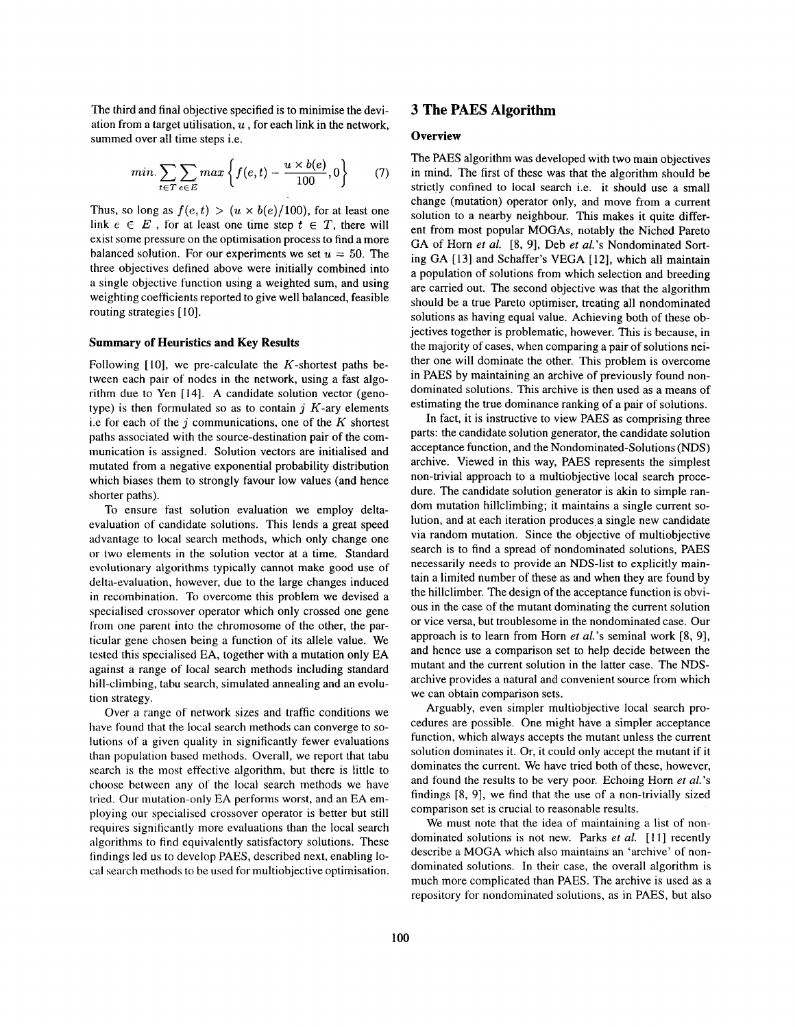The third and final objective specified is to minimise the deviation from a target utilisation, *U* , for each link in the network, summed over all time steps i.e.

$$
min. \sum_{t \in T} \sum_{e \in E} max \left\{ f(e, t) - \frac{u \times b(e)}{100}, 0 \right\} \tag{7}
$$

Thus, so long as  $f(e, t) > (u \times b(e)/100)$ , for at least one link  $e \in E$ , for at least one time step  $t \in T$ , there will exist some pressure on the optimisation process to find a more balanced solution. For our experiments we set  $u = 50$ . The three objectives defined above were initially combined into a single objective function using a weighted sum, and using weighting coefficients reported to give well balanced, feasible routing strategies [IO].

### **Summary of Heuristics and Key Results**

Following  $[10]$ , we pre-calculate the K-shortest paths between each pair of nodes in the network, using a fast algorithm due to Yen [ 141. A candidate solution vector (genotype) is then formulated so as to contain  $j$   $K$ -ary elements i.e for each **of** the *j* communications, one of the *K* shortest paths associated with the source-destination pair of the communication is assigned. Solution vectors are initialised and mutated from a negative exponential probability distribution which biases them to strongly favour low values (and hence shorter paths).

To ensure fast solution evaluation we employ deltaevaluation of candidate solutions. This lends a great speed advantage to local search methods, which only change one or two elements in the solution vector at a time. Standard evolutionary algorithms typically cannot make good use of delta-evaluation, however, due to the large changes induced **in** recombination. To overcome this problem we devised a specialised crossover operator which only crossed one gene from one parent into the chromosome of the other, the particular gene chosen being a function of its allele value. We tested this specialised EA, together with a mutation only EA against a range of local search methods including standard hill-climbing, tabu search, simulated annealing and an evolution strategy.

Over a range of network sizes and traffic conditions we have found that the local search methods can converge to solutions of a given quality in significantly fewer evaluations than population based methods. Overall, we report that tabu search is the most effective algorithm, but there is little to choose between any of the local search methods we have tried. Our mutation-only EA performs worst, and an EA employing our specialised crossover operator is better but still requires significantly more evaluations than the local search algorithms to find equivalently satisfactory solutions. These findings led **us** to develop PAES, described next, enabling local search methods to be used for multiobjective optimisation.

## **3 The PAES Algorithm**

#### **Overview**

The PAES algorithm was developed with two main objectives in mind. The first of these was that the algorithm should be strictly confined *to* local search i.e. it should use a small change (mutation) operator only, and move from a current solution to a nearby neighbour. This makes it quite different from most popular MOGAs, notably the Niched Pareto GA of Horn et al. [8, 9], Deb et al.'s Nondominated Sorting GA [13] and Schaffer's VEGA [12], which all maintain a population of solutions from which selection and breeding are carried out. The second objective was that the algorithm should be a true Pareto optimiser, treating all nondominated solutions as having equal value. Achieving both of these objectives together is problematic, however. This is because, in the majority of cases, when comparing a pair of solutions neither one will dominate the ocher. This problem is overcome in PAES by maintaining an atchive of previously found nondominated solutions. This archive is then used as a means of estimating the true dominance ranking of a pair of solutions.

In fact, it is instructive to view PAES as comprising three parts: the candidate solution generator, the candidate solution acceptance function, and the Nondominated-Solutions (NDS) archive. Viewed in this way, PAES represents the simplest non-trivial approach to a multiobjective local search procedure. The candidate solution generator is akin to simple random mutation hillclimbing; it maintains a single current solution, and at each iteration produces a single new candidate via random mutation. Since the objective of multiobjective search is to find a spread of nondominated solutions, PAES necessarily needs to provide an NDS-list to explicitly maintain a limited number of these as and when they are found by the hillclimber. The design of the acceptance function is obvious in the case of the mutant dominating the current solution or vice versa, but troublesome in the nondominated case. Our approach is to learn from Harn *et al.'s* seminal work **[8,** 91, and hence use a comparison set to help decide between the mutant and the current solution in the latter case. The NDSarchive provides a natural and convenient source from which we can obtain comparison sets.

Arguably, even simpler multiobjective local search procedures are possible. One might have a simpler acceptance function, which always accepts the mutant unless the current solution dominates it. Or, it could only accept the mutant if it dominates the current. We have tried both of these, however, and found the results to be very poor. Echoing Horn *et al.'s*  findings [8, 91, we find that the use of a non-trivially sized comparison set is crucial to reasonable results.

We must note that the idea of maintaining a list of nondominated solutions is not new. Parks *et al.* [ 111 recently describe a MOGA which also maintains an 'archive' of nondominated solutions. In their case, the overall algorithm is much more complicated than PAES. The archive is used as a repository for nondominated solutions, as in PAES, but also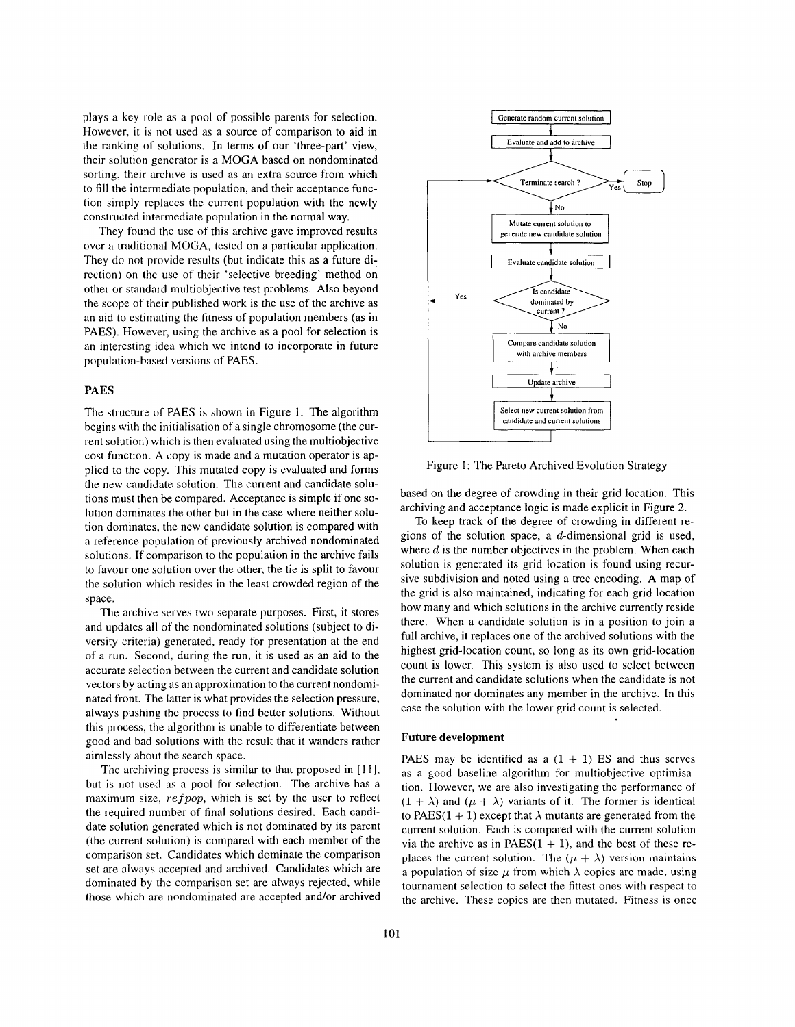plays a key role as a pool of possible parents for selection. However, it is not used as a source of comparison to aid in the ranking of solutions. In terms of our 'three-part' view, their solution generator is a MOGA based on nondominated sorting, their archive is used as an extra source from which to fill the intermediate population, and their acceptance function simply replaces the current population with the newly constructed intermediate population in the normal way.

They found the use of this archive gave improved results over *a* traditional MOGA, tested on a particular application. They do not provide results (but indicate this as a future direction) on the use of their 'selective breeding' method on other or standard multiobjective test problems. **Also** beyond the scope of their published work is the use of the archive as an aid to estimating the fitness of population members (as in PAES). However, using the archive as a pool for selection is an interesting idea which we intend to incorporate in future population-based versions of PAES.

#### **PAES**

The structure of PAES is shown in Figure **1.** The algorithm begins with the initialisation of a single chromosome (the current solution) which is then evaluated using the multiobjective cost function. A copy is made and a mutation operator is applied to the copy. This mutated copy is evaluated and forms the new candidate solution. The current and candidate solutions must then be compared. Acceptance is simple if one solution dominates the other but in the case where neither solution dominates, the new candidate solution is compared with a reference population of previously archived nondominated solutions. If comparison to the population in the archive fails to favour one solution over the other, the tie is split to favour the solution which resides in the least crowded region of the space.

The archive serves two separate purposes. First, it stores and updates all of the nondominated solutions (subject to diversity criteria) generated, ready for presentation at the end of a run. Second, during the run, it is used as an aid to the accurate selection between the current and candidate solution vectors by acting as an approximation to the current nondominated front. The latter is what provides the selection pressure, always pushing the process to find better solutions. Without this process, the algorithm is unable to differentiate between good and bad solutions with the result that it wanders rather aimlessly about the search space.

The archiving process is similar to that proposed in [ **1** I], but is not used as a pool for selection. The archive has a maximum size, *refpop,* which is set by the user to reflect the required number of final solutions desired. Each candidate solution generated which is not dominated by its parent (the current solution) is compared with each member of the cornparison set. Candidates which dominate the comparison set are always accepted and archived. Candidates which are dominated by the comparison set are always rejected, while those which are nondominated are accepted and/or archived



Figure 1: The Pareto Archived Evolution Strategy

based on the degree of crowding in their grid location. This archiving and acceptance logic is made explicit in Figure *2.* 

To keep track of the degree of crowding in different regions of the solution space, a  $d$ -dimensional grid is used, where  $d$  is the number objectives in the problem. When each solution is generated its grid location is found using recursive subdivision and noted using a tree encoding. A map of the grid is also maintained, indicating for each grid location how many and which solutions in the archive currently reside there. When a candidate solution is in a position to join a full archive, it replaces one of the archived solutions with the highest grid-location count, so long as its own grid-location count is lower. This system is also used to select between the current and candidate solutions when the candidate is not dominated nor dominates any member in the archive. In this case the solution with the lower grid count is selected.

#### **Future development**

PAES may be identified as a  $(1 + 1)$  ES and thus serves as a good baseline algorithm for multiobjective optimisation. However, we are also investigating the performance of  $(1 + \lambda)$  and  $(\mu + \lambda)$  variants of it. The former is identical to PAES(1 + 1) except that  $\lambda$  mutants are generated from the current solution. Each is compared with the current solution via the archive as in  $PAES(1 + 1)$ , and the best of these replaces the current solution. The  $(\mu + \lambda)$  version maintains a population of size  $\mu$  from which  $\lambda$  copies are made, using tournament selection to select the fittest ones with respect to the archive. These copies are then mutated. Fitness is once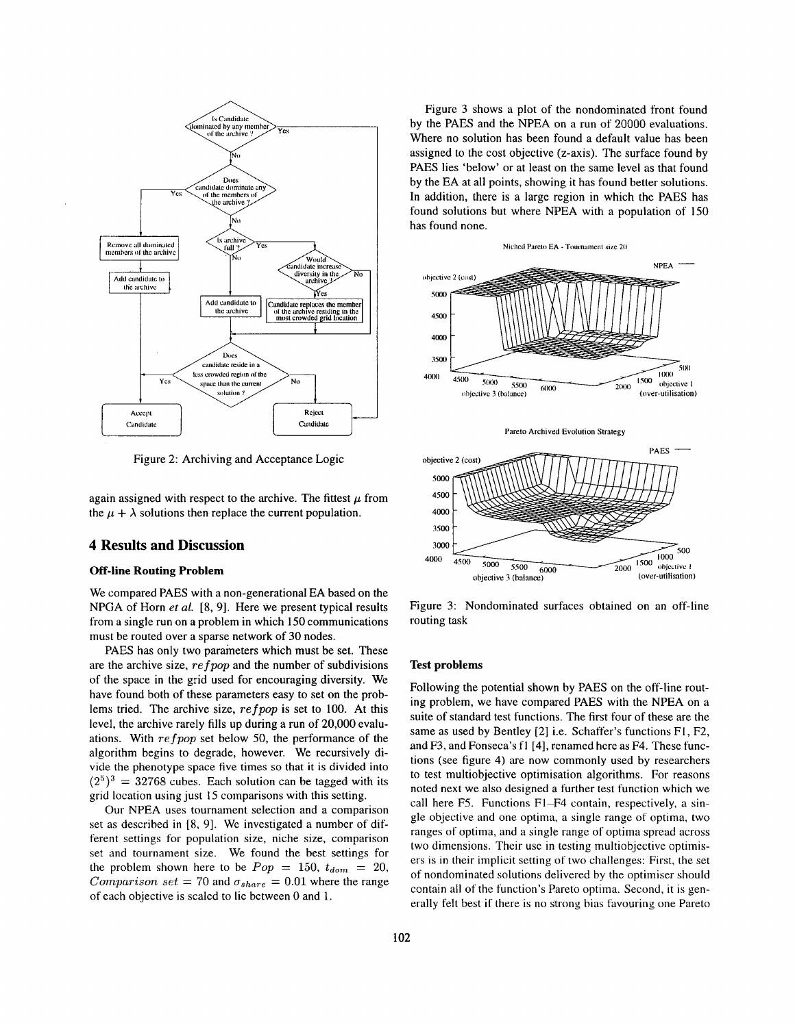

Figure 2: Archiving and Acceptance Logic

again assigned with respect to the archive. The fittest  $\mu$  from the  $\mu + \lambda$  solutions then replace the current population.

### **4 Results and Discussion**

#### **Off-line Routing Problem**

We compared PAES with a non-generational EA based on the NPGA of Horn *et al.* [8, 9]. Here we present typical results from a single run on a problem in which 150 communications must be routed over a sparse network of **30** nodes.

PAES has only two parameters which must be set. These are the archive size, *re fpop* and the number of subdivisions of the space in the grid used for encouraging diversity. We have found both of these parameters easy to set on the problems tried. The archive size, *refpop* is set to 100. At this level, the archive rarely fills up during a run of 20,000 evaluations. With *re fpop* set below 50, the performance of the algorithm begins to degrade, however. We recursively divide the phenotype space five times so that it is divided into  $(2^5)^3$  = 32768 cubes. Each solution can be tagged with its grid location using just 15 comparisons with this setting.

Our NPEA uses tournament selection and a comparison set as described in [8, 9]. We investigated a number of different settings for population size, niche size, comparison set and tournament size. We found the best settings for the problem shown here to be  $Pop = 150$ ,  $t_{dom} = 20$ , *Comparison set* = 70 and  $\sigma_{share} = 0.01$  where the range of each objective is scaled to lie between 0 and 1.

Figure 3 shows a plot of the nondominated front found by the PAES and the NPEA on a run of 20000 evaluations. Where no solution has been found a default value has been assigned to the cost objective (z-axis). The surface found by PAES lies 'below' or at least on the same level as that found by the EA at all points, showing it has found better solutions. In addition, there is a large region in which the PAES has found solutions but where NPEA with a population of 150 has found none.



Figure **3:** Nondominated surfaces obtained on an off-line routing task

#### **Test problems**

Following the potential shown by PAES on the off-line routing problem, we have compared PAES with the NPEA on a suite of standard test functions. The first four of these are the same as used by Bentley  $[2]$  i.e. Schaffer's functions  $FI$ ,  $F2$ , and F3, and Fonseca's f1 [4], renamed here as F4. These functions (see figure 4) are now commonly used by researchers to test multiobjective optimisation algorithms. For reasons noted next we also designed a further test function which we call here F5. Functions F1-F4 contain, respectively, a single objective and one optima, a single range of optima, two ranges of optima, and a single range of optima spread across two dimensions. Their use in testing multiobjective optimisers is in their implicit setting of two challenges: First, the set of nondominated solutions delivered by the optimiser should contain all of the function's Pareto optima. Second, it is generally felt best if there is no strong bias favouring one Pareto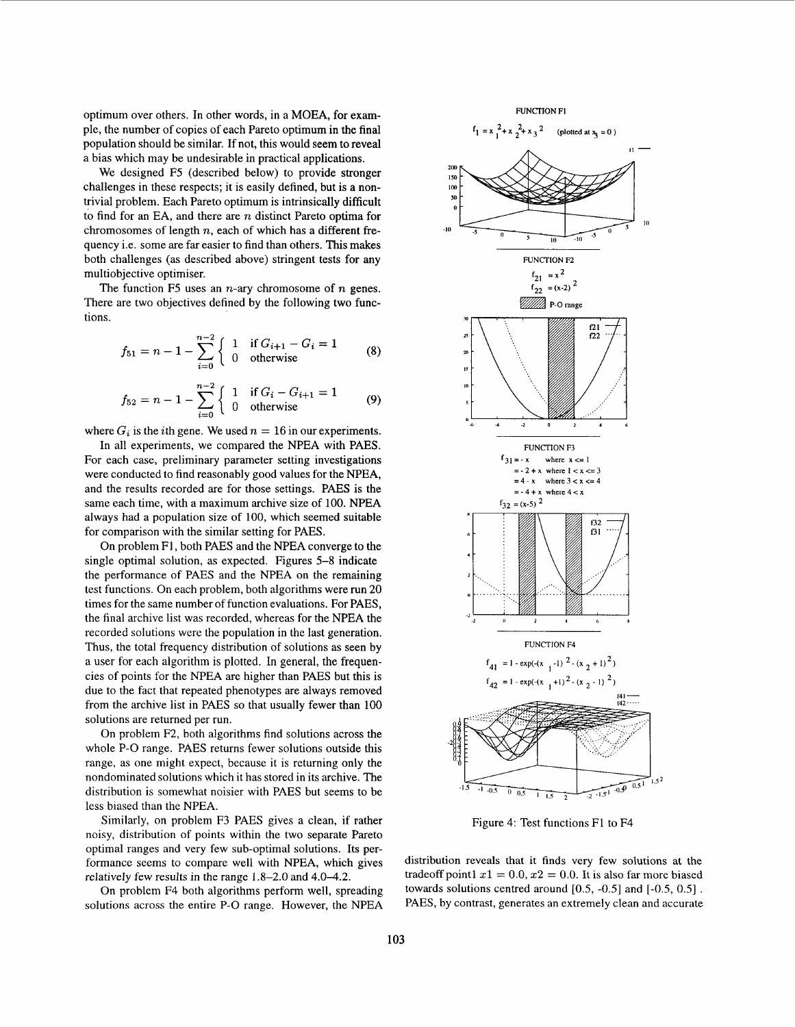optimum over others. In other words, in a MOEA, for example, the number of copies of each Pareto optimum in the final population should be similar. If not, this would seem to reveal a bias which may be undesirable in practical applications.

We designed F5 (described below) to provide stronger challenges in these respects; it is easily defined, but is a nontrivial problem. Each Pareto optimum is intrinsically difficult to find for an EA, and there are  $n$  distinct Pareto optima for chromosomes of length  $n$ , each of which has a different frequency i.e. some are far easier to find than others. This makes both challenges (as described above) stringent tests for any multiobjective optimiser.

The function F5 uses an n-ary chromosome of *n* genes. There are two objectives defined by the following two functions.

$$
f_{51} = n - 1 - \sum_{i=0}^{n-2} \begin{cases} 1 & \text{if } G_{i+1} - G_i = 1 \\ 0 & \text{otherwise} \end{cases}
$$
 (8)

$$
f_{52} = n - 1 - \sum_{i=0}^{n-2} \begin{cases} 1 & \text{if } G_i - G_{i+1} = 1 \\ 0 & \text{otherwise} \end{cases}
$$
 (9)

where  $G_i$  is the *i*th gene. We used  $n = 16$  in our experiments.

In all experiments, we compared the NPEA with PAES. For each case, preliminary parameter setting investigations were conducted to find reasonably good values for the NPEA, and the results recorded are for those settings. PAES is the same each time, with a maximum archive size of 100. NPEA always had a population size of 100, which seemed suitable for comparison with the similar setting for PAES.

On problem F1, both PAES and the NPEA converge to the single optimal solution, as expected. Figures 5-8 indicate the performance of PAES and the NPEA on the remaining test functions. On each problem, both algorithms were run 20 times for the same number of function evaluations. For PAES, the final archive list was recorded, whereas for the NPEA the recorded solutions were the population in the last generation. Thus, the total frequency distribution of solutions as seen by a user for each algorithm is plotted. In general, the frequencies of points for the NPEA are higher than PAES but this is due to the fact that repeated phenotypes are always removed from the archive list in PAES so that usually fewer than 100 solutions are returned per run.

On problem F2, both algorithms find solutions across the whole P-0 range. PAES returns fewer solutions outside this range, as one might expect, because it is returning only the nondominated solutions which it has stored in its archive. The distribution is somewhat noisier with PAES but seems to be less biased than the NPEA.

Similarly, on problem F3 PAES gives a clean, if rather noisy, distribution of points within the two separate Pareto optimal ranges and very few sub-optimal solutions. Its performance seems to compare well with NPEA, which gives relatively few results in the range 1.8-2.0 and 4.0-4.2.

On problem F4 both algorithms perform well, spreading solutions across the entire P-0 range. However, the NPEA



Figure 4: Test functions F1 to F4

distribution reveals that it finds very few solutions at the tradeoff point1  $x1 = 0.0$ ,  $x2 = 0.0$ . It is also far more biased towards solutions centred around [0.5, -0.5] and [-0.5, 0.5]. PAES, by contrast, generates an extremely clean and accurate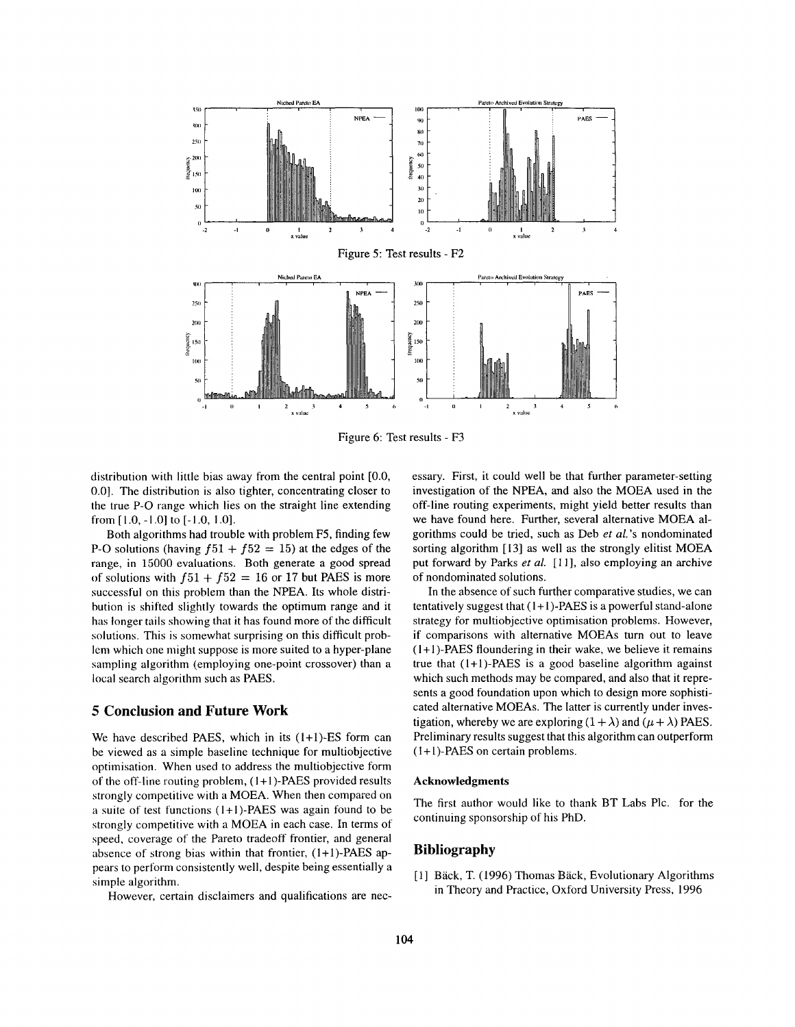

Figure 6: Test results - F3

distribution with little bias away from the central point [0.0, 0.01. The distribution is also tighter, concentrating closer to the true P-0 range which lies on the straight line extending from [I *.O,* -I .O] to [-I *.O,* **1** .0].

Both algorithms had trouble with problem F5, finding few P-O solutions (having  $f51 + f52 = 15$ ) at the edges of the range, in 15000 evaluations. Both generate a good spread of solutions with  $f51 + f52 = 16$  or 17 but PAES is more successful on this problem than the NPEA. Its whole distribution is shifted slightly towards the optimum range and it **has** longer tails showing that it has found more of the difficult solutions. This is somewhat surprising on this difficult problem which one might suppose is more suited to a hyper-plane sampling algorithm (employing one-point crossover) than a local search algorithm such as PAES.

### **5 Conclusion and Future Work**

We have described PAES, which in its  $(1+1)$ -ES form can be viewed as a simple baseline technique for multiobjective optimisation. When used to address the multiobjective form of the off-line routing problem,  $(1+1)$ -PAES provided results strongly competitive with a MOEA. When then compared on *a* suite of test functions (I+I)-PAES was again found to be strongly competitive with a MOEA in each case. In terms of speed, coverage of the Pareto tradeoff frontier, and general absence of strong bias within that frontier, **(1** +I)-PAES appears to perform consistently well, despite being essentially a simple algorithm.

However, certain disclaimers and qualifications are nec-

essary. First, it could well be that further parameter-setting investigation of the NPEA, and also the MOEA used in the off-line routing experiments, might yield better results than we have found here. Further, several alternative MOEA algorithms could be tried, such as Deb *et al.'s* nondominated sorting algorithm [13] as well as the strongly elitist MOEA put forward by Parks *et al.* [ 1 I], also employing an archive of nondominated solutions.

In the absence of such further comparative studies, we can tentatively suggest that  $(1+1)$ -PAES is a powerful stand-alone strategy for multiobjective optimisation problems. However, if comparisons with alternative MOEAs turn out to leave  $(1+1)$ -PAES floundering in their wake, we believe it remains true that  $(1+1)$ -PAES is a good baseline algorithm against which such methods may be compared, and also that it represents a good foundation upon which to design more sophisticated alternative MOEAs. The latter is currently under investigation, whereby we are exploring  $(1 + \lambda)$  and  $(\mu + \lambda)$  PAES. Preliminary results suggest that this algorithm can outperform  $(1+1)$ -PAES on certain problems.

#### **Acknowledgments**

The first author would like to thank BT Labs Plc. for the continuing sponsorship of his PhD.

## **Bibliography**

[1] Bäck, T. (1996) Thomas Bäck, Evolutionary Algorithms in Theory and Practice, Oxford University Press, 1996